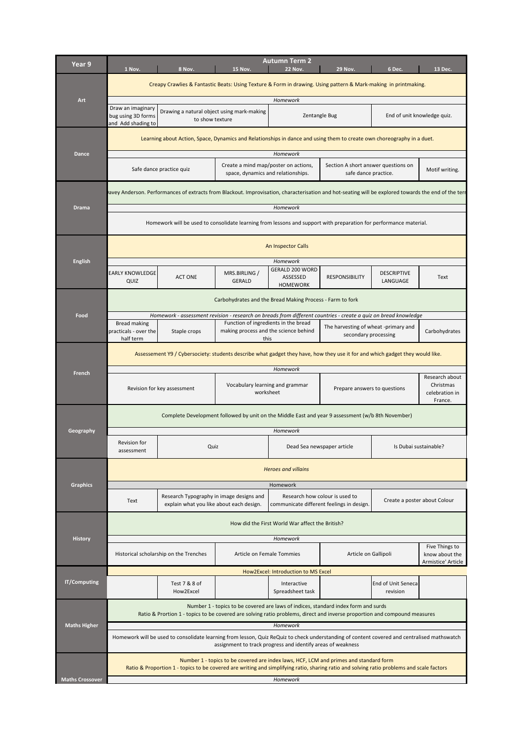| Year 9         | 1 Nov.                                                                                                            | 8 Nov.                                                                                                                                              | <b>15 Nov.</b>                                                                        | <b>Autumn Term 2</b><br><b>22 Nov.</b>         | <b>29 Nov.</b>                                               | 6 Dec.                         | 13 Dec.                                                  |  |
|----------------|-------------------------------------------------------------------------------------------------------------------|-----------------------------------------------------------------------------------------------------------------------------------------------------|---------------------------------------------------------------------------------------|------------------------------------------------|--------------------------------------------------------------|--------------------------------|----------------------------------------------------------|--|
|                |                                                                                                                   | Creapy Crawlies & Fantastic Beats: Using Texture & Form in drawing. Using pattern & Mark-making in printmaking.                                     |                                                                                       |                                                |                                                              |                                |                                                          |  |
| Art            |                                                                                                                   |                                                                                                                                                     |                                                                                       | Homework                                       |                                                              |                                |                                                          |  |
|                | Draw an imaginary<br>bug using 3D forms<br>and Add shading to                                                     | Drawing a natural object using mark-making<br>to show texture                                                                                       |                                                                                       |                                                | Zentangle Bug                                                |                                | End of unit knowledge quiz.                              |  |
|                |                                                                                                                   | Learning about Action, Space, Dynamics and Relationships in dance and using them to create own choreography in a duet.                              |                                                                                       |                                                |                                                              |                                |                                                          |  |
| <b>Dance</b>   | Homework                                                                                                          |                                                                                                                                                     |                                                                                       |                                                |                                                              |                                |                                                          |  |
|                |                                                                                                                   | Safe dance practice quiz                                                                                                                            | Create a mind map/poster on actions,<br>space, dynamics and relationships.            |                                                | Section A short answer questions on<br>safe dance practice.  |                                | Motif writing.                                           |  |
|                |                                                                                                                   | avey Anderson. Performances of extracts from Blackout. Improvisation, characterisation and hot-seating will be explored towards the end of the terr |                                                                                       |                                                |                                                              |                                |                                                          |  |
| <b>Drama</b>   | Homework                                                                                                          |                                                                                                                                                     |                                                                                       |                                                |                                                              |                                |                                                          |  |
|                | Homework will be used to consolidate learning from lessons and support with preparation for performance material. |                                                                                                                                                     |                                                                                       |                                                |                                                              |                                |                                                          |  |
|                |                                                                                                                   | An Inspector Calls                                                                                                                                  |                                                                                       |                                                |                                                              |                                |                                                          |  |
| <b>English</b> |                                                                                                                   | Homework                                                                                                                                            |                                                                                       |                                                |                                                              |                                |                                                          |  |
|                | <b>EARLY KNOWLEDGE</b><br>QUIZ                                                                                    | <b>ACT ONE</b>                                                                                                                                      | MRS.BIRLING /<br><b>GERALD</b>                                                        | GERALD 200 WORD<br>ASSESSED<br><b>HOMEWORK</b> | <b>RESPONSIBILITY</b>                                        | <b>DESCRIPTIVE</b><br>LANGUAGE | Text                                                     |  |
|                |                                                                                                                   |                                                                                                                                                     | Carbohydrates and the Bread Making Process - Farm to fork                             |                                                |                                                              |                                |                                                          |  |
| Food           |                                                                                                                   | Homework - assessment revision - research on breads from different countries - create a quiz on bread knowledge                                     |                                                                                       |                                                |                                                              |                                |                                                          |  |
|                | <b>Bread making</b><br>practicals - over the<br>half term                                                         | Staple crops                                                                                                                                        | Function of ingredients in the bread<br>making process and the science behind<br>this |                                                | The harvesting of wheat -primary and<br>secondary processing |                                | Carbohydrates                                            |  |
|                |                                                                                                                   | Assessement Y9 / Cybersociety: students describe what gadget they have, how they use it for and which gadget they would like.                       |                                                                                       |                                                |                                                              |                                |                                                          |  |
|                | Homework                                                                                                          |                                                                                                                                                     |                                                                                       |                                                |                                                              |                                |                                                          |  |
| <b>French</b>  |                                                                                                                   | Revision for key assessment                                                                                                                         | Vocabulary learning and grammar<br>worksheet                                          |                                                | Prepare answers to questions                                 |                                | Research about<br>Christmas<br>celebration in<br>France. |  |
|                |                                                                                                                   | Complete Development followed by unit on the Middle East and year 9 assessment (w/b 8th November)                                                   |                                                                                       |                                                |                                                              |                                |                                                          |  |
| Geography      |                                                                                                                   |                                                                                                                                                     |                                                                                       | Homework                                       |                                                              |                                |                                                          |  |
|                | Revision for<br>assessment                                                                                        | Quiz                                                                                                                                                |                                                                                       |                                                | Dead Sea newspaper article                                   |                                | Is Dubai sustainable?                                    |  |
|                |                                                                                                                   |                                                                                                                                                     |                                                                                       | <b>Heroes and villains</b>                     |                                                              |                                |                                                          |  |

| <b>Graphics</b>        | Homework                                                                                                                                                                                                                           |                                                                                      |                           |                                                                             |                      |                                 |                                                        |  |  |
|------------------------|------------------------------------------------------------------------------------------------------------------------------------------------------------------------------------------------------------------------------------|--------------------------------------------------------------------------------------|---------------------------|-----------------------------------------------------------------------------|----------------------|---------------------------------|--------------------------------------------------------|--|--|
|                        | Text                                                                                                                                                                                                                               | Research Typography in image designs and<br>explain what you like about each design. |                           | Research how colour is used to<br>communicate different feelings in design. |                      | Create a poster about Colour    |                                                        |  |  |
|                        | How did the First World War affect the British?                                                                                                                                                                                    |                                                                                      |                           |                                                                             |                      |                                 |                                                        |  |  |
| <b>History</b>         | <b>Homework</b>                                                                                                                                                                                                                    |                                                                                      |                           |                                                                             |                      |                                 |                                                        |  |  |
|                        | Historical scholarship on the Trenches                                                                                                                                                                                             |                                                                                      | Article on Female Tommies |                                                                             | Article on Gallipoli |                                 | Five Things to<br>know about the<br>Armistice' Article |  |  |
|                        | How2Excel: Introduction to MS Excel                                                                                                                                                                                                |                                                                                      |                           |                                                                             |                      |                                 |                                                        |  |  |
| <b>IT/Computing</b>    |                                                                                                                                                                                                                                    | Test 7 & 8 of<br>How2Excel                                                           |                           | Interactive<br>Spreadsheet task                                             |                      | End of Unit Senecal<br>revision |                                                        |  |  |
|                        | Number 1 - topics to be covered are laws of indices, standard index form and surds<br>Ratio & Prortion 1 - topics to be covered are solving ratio problems, direct and inverse proportion and compound measures                    |                                                                                      |                           |                                                                             |                      |                                 |                                                        |  |  |
| <b>Maths Higher</b>    | Homework                                                                                                                                                                                                                           |                                                                                      |                           |                                                                             |                      |                                 |                                                        |  |  |
|                        | Homework will be used to consolidate learning from lesson, Quiz ReQuiz to check understanding of content covered and centralised mathswatch<br>assignment to track progress and identify areas of weakness                         |                                                                                      |                           |                                                                             |                      |                                 |                                                        |  |  |
|                        | Number 1 - topics to be covered are index laws, HCF, LCM and primes and standard form<br>Ratio & Proportion 1 - topics to be covered are writing and simplifying ratio, sharing ratio and solving ratio problems and scale factors |                                                                                      |                           |                                                                             |                      |                                 |                                                        |  |  |
| <b>Maths Crossover</b> |                                                                                                                                                                                                                                    |                                                                                      |                           | Homework                                                                    |                      |                                 |                                                        |  |  |